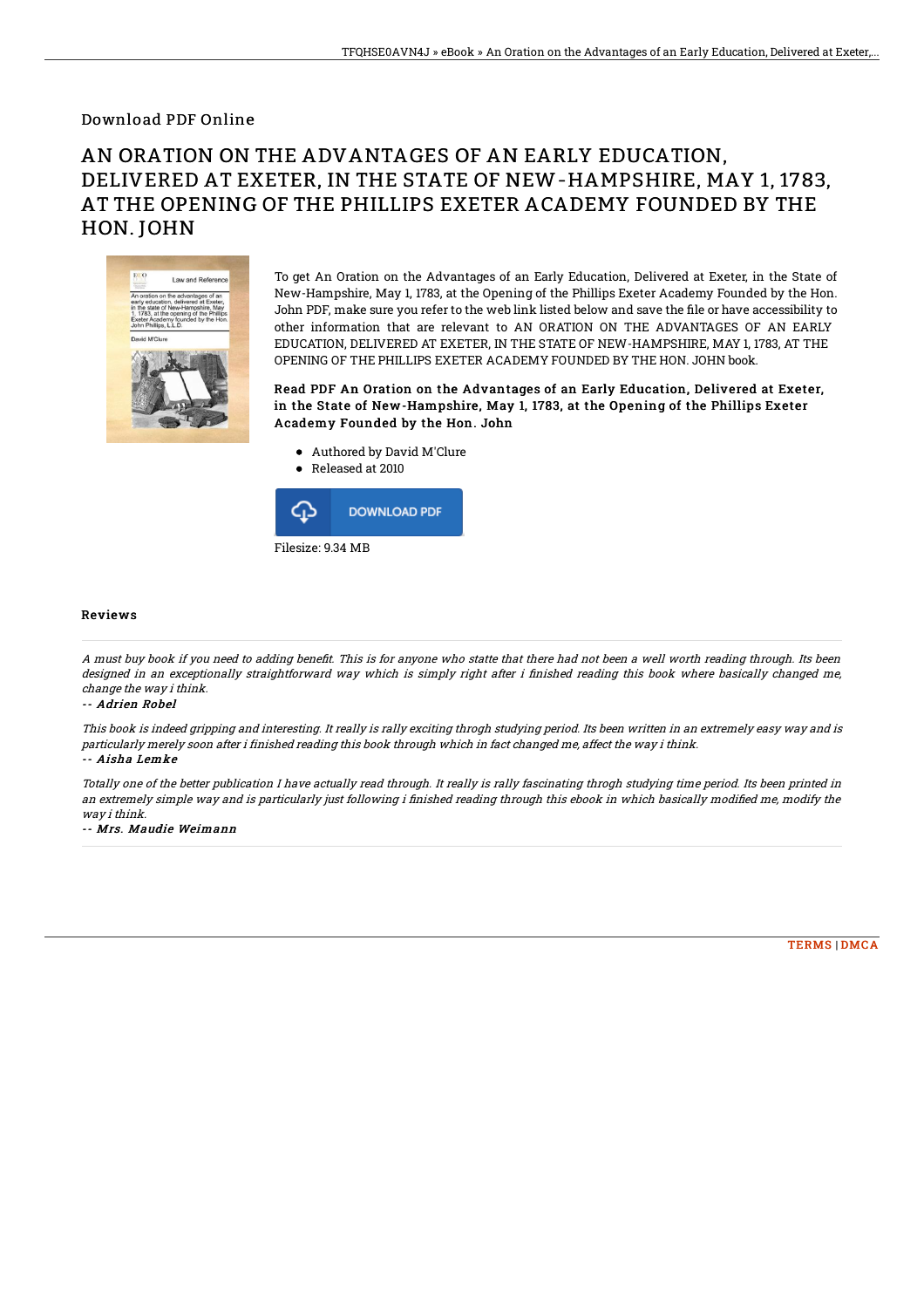## Download PDF Online

## AN ORATION ON THE ADVANTAGES OF AN EARLY EDUCATION, DELIVERED AT EXETER, IN THE STATE OF NEW-HAMPSHIRE, MAY 1, 1783, AT THE OPENING OF THE PHILLIPS EXETER ACADEMY FOUNDED BY THE HON. JOHN



To get An Oration on the Advantages of an Early Education, Delivered at Exeter, in the State of New-Hampshire, May 1, 1783, at the Opening of the Phillips Exeter Academy Founded by the Hon. John PDF, make sure you refer to the web link listed below and save the file or have accessibility to other information that are relevant to AN ORATION ON THE ADVANTAGES OF AN EARLY EDUCATION, DELIVERED AT EXETER, IN THE STATE OF NEW-HAMPSHIRE, MAY 1, 1783, AT THE OPENING OF THE PHILLIPS EXETER ACADEMY FOUNDED BY THE HON. JOHN book.

Read PDF An Oration on the Advantages of an Early Education, Delivered at Exeter, in the State of New-Hampshire, May 1, 1783, at the Opening of the Phillips Exeter Academy Founded by the Hon. John

- Authored by David M'Clure
- Released at 2010



## Reviews

A must buy book if you need to adding benefit. This is for anyone who statte that there had not been a well worth reading through. Its been designed in an exceptionally straightforward way which is simply right after i finished reading this book where basically changed me, change the way i think.

-- Adrien Robel

This book is indeed gripping and interesting. It really is rally exciting throgh studying period. Its been written in an extremely easy way and is particularly merely soon after i finished reading this book through which in fact changed me, affect the way i think. -- Aisha Lemke

Totally one of the better publication I have actually read through. It really is rally fascinating throgh studying time period. Its been printed in an extremely simple way and is particularly just following i finished reading through this ebook in which basically modified me, modify the way i think.

-- Mrs. Maudie Weimann